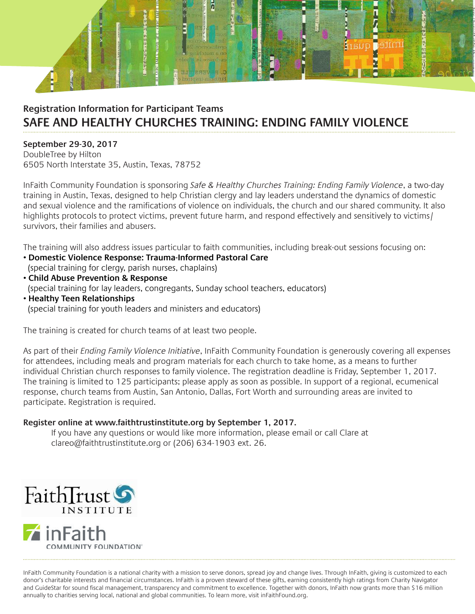

# **Registration Information for Participant Teams SAFE AND HEALTHY CHURCHES TRAINING: ENDING FAMILY VIOLENCE**

#### **September 29-30, 2017**

DoubleTree by Hilton 6505 North Interstate 35, Austin, Texas, 78752

InFaith Community Foundation is sponsoring *Safe & Healthy Churches Training: Ending Family Violence*, a two-day training in Austin, Texas, designed to help Christian clergy and lay leaders understand the dynamics of domestic and sexual violence and the ramifications of violence on individuals, the church and our shared community. It also highlights protocols to protect victims, prevent future harm, and respond effectively and sensitively to victims/ survivors, their families and abusers.

The training will also address issues particular to faith communities, including break-out sessions focusing on:

- **Domestic Violence Response: Trauma-Informed Pastoral Care**  (special training for clergy, parish nurses, chaplains)
- **Child Abuse Prevention & Response**  (special training for lay leaders, congregants, Sunday school teachers, educators) • **Healthy Teen Relationships**
- (special training for youth leaders and ministers and educators)

The training is created for church teams of at least two people.

As part of their *Ending Family Violence Initiative*, InFaith Community Foundation is generously covering all expenses for attendees, including meals and program materials for each church to take home, as a means to further individual Christian church responses to family violence. The registration deadline is Friday, September 1, 2017. The training is limited to 125 participants; please apply as soon as possible. In support of a regional, ecumenical response, church teams from Austin, San Antonio, Dallas, Fort Worth and surrounding areas are invited to participate. Registration is required.

### **Register online at www.faithtrustinstitute.org by September 1, 2017.**

If you have any questions or would like more information, please email or call Clare at clareo@faithtrustinstitute.org or (206) 634-1903 ext. 26.



InFaith Community Foundation is a national charity with a mission to serve donors, spread joy and change lives. Through InFaith, giving is customized to each donor's charitable interests and financial circumstances. InFaith is a proven steward of these gifts, earning consistently high ratings from Charity Navigator and GuideStar for sound fiscal management, transparency and commitment to excellence. Together with donors, InFaith now grants more than \$16 million annually to charities serving local, national and global communities. To learn more, visit inFaithFound.org.